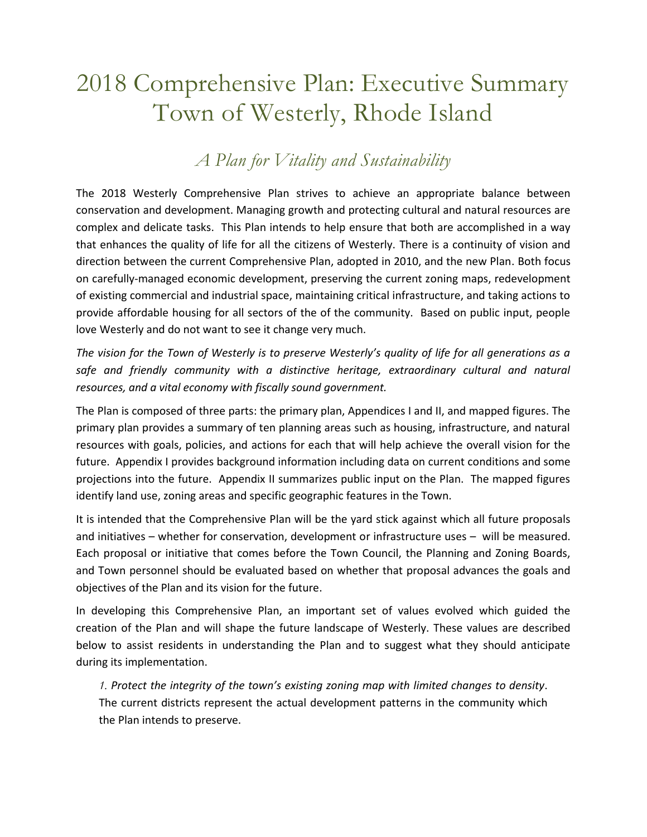# 2018 Comprehensive Plan: Executive Summary Town of Westerly, Rhode Island

# *A Plan for Vitality and Sustainability*

The 2018 Westerly Comprehensive Plan strives to achieve an appropriate balance between conservation and development. Managing growth and protecting cultural and natural resources are complex and delicate tasks. This Plan intends to help ensure that both are accomplished in a way that enhances the quality of life for all the citizens of Westerly. There is a continuity of vision and direction between the current Comprehensive Plan, adopted in 2010, and the new Plan. Both focus on carefully-managed economic development, preserving the current zoning maps, redevelopment of existing commercial and industrial space, maintaining critical infrastructure, and taking actions to provide affordable housing for all sectors of the of the community. Based on public input, people love Westerly and do not want to see it change very much.

*The vision for the Town of Westerly is to preserve Westerly's quality of life for all generations as a safe and friendly community with a distinctive heritage, extraordinary cultural and natural resources, and a vital economy with fiscally sound government.* 

The Plan is composed of three parts: the primary plan, Appendices I and II, and mapped figures. The primary plan provides a summary of ten planning areas such as housing, infrastructure, and natural resources with goals, policies, and actions for each that will help achieve the overall vision for the future. Appendix I provides background information including data on current conditions and some projections into the future. Appendix II summarizes public input on the Plan. The mapped figures identify land use, zoning areas and specific geographic features in the Town.

It is intended that the Comprehensive Plan will be the yard stick against which all future proposals and initiatives – whether for conservation, development or infrastructure uses – will be measured. Each proposal or initiative that comes before the Town Council, the Planning and Zoning Boards, and Town personnel should be evaluated based on whether that proposal advances the goals and objectives of the Plan and its vision for the future.

In developing this Comprehensive Plan, an important set of values evolved which guided the creation of the Plan and will shape the future landscape of Westerly. These values are described below to assist residents in understanding the Plan and to suggest what they should anticipate during its implementation.

*1. Protect the integrity of the town's existing zoning map with limited changes to density*. The current districts represent the actual development patterns in the community which the Plan intends to preserve.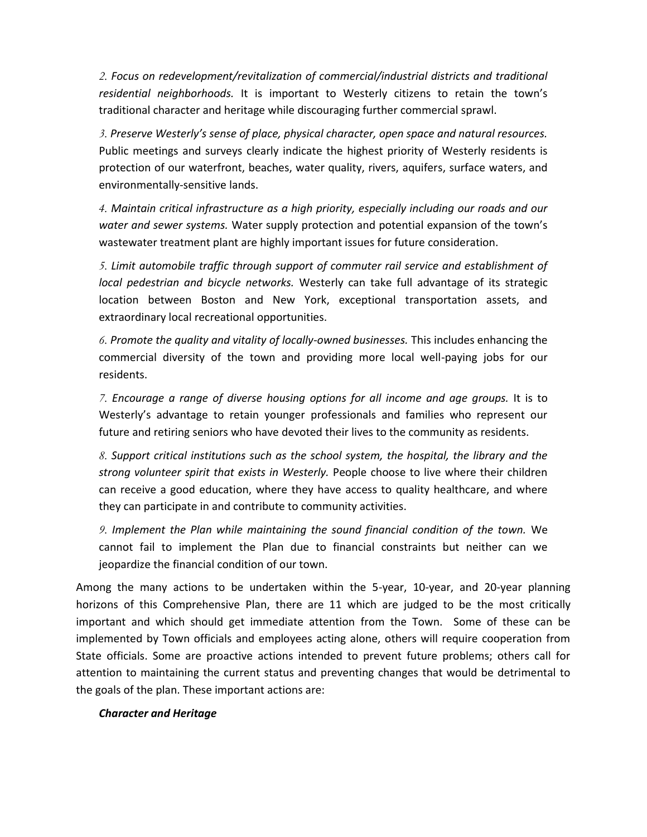*2. Focus on redevelopment/revitalization of commercial/industrial districts and traditional residential neighborhoods.* It is important to Westerly citizens to retain the town's traditional character and heritage while discouraging further commercial sprawl.

*3. Preserve Westerly's sense of place, physical character, open space and natural resources.*  Public meetings and surveys clearly indicate the highest priority of Westerly residents is protection of our waterfront, beaches, water quality, rivers, aquifers, surface waters, and environmentally-sensitive lands.

*4. Maintain critical infrastructure as a high priority, especially including our roads and our water and sewer systems.* Water supply protection and potential expansion of the town's wastewater treatment plant are highly important issues for future consideration.

*5. Limit automobile traffic through support of commuter rail service and establishment of local pedestrian and bicycle networks.* Westerly can take full advantage of its strategic location between Boston and New York, exceptional transportation assets, and extraordinary local recreational opportunities.

*6. Promote the quality and vitality of locally-owned businesses.* This includes enhancing the commercial diversity of the town and providing more local well-paying jobs for our residents.

*7. Encourage a range of diverse housing options for all income and age groups.* It is to Westerly's advantage to retain younger professionals and families who represent our future and retiring seniors who have devoted their lives to the community as residents.

*8. Support critical institutions such as the school system, the hospital, the library and the strong volunteer spirit that exists in Westerly.* People choose to live where their children can receive a good education, where they have access to quality healthcare, and where they can participate in and contribute to community activities.

*9. Implement the Plan while maintaining the sound financial condition of the town.* We cannot fail to implement the Plan due to financial constraints but neither can we jeopardize the financial condition of our town.

Among the many actions to be undertaken within the 5-year, 10-year, and 20-year planning horizons of this Comprehensive Plan, there are 11 which are judged to be the most critically important and which should get immediate attention from the Town. Some of these can be implemented by Town officials and employees acting alone, others will require cooperation from State officials. Some are proactive actions intended to prevent future problems; others call for attention to maintaining the current status and preventing changes that would be detrimental to the goals of the plan. These important actions are:

#### *Character and Heritage*